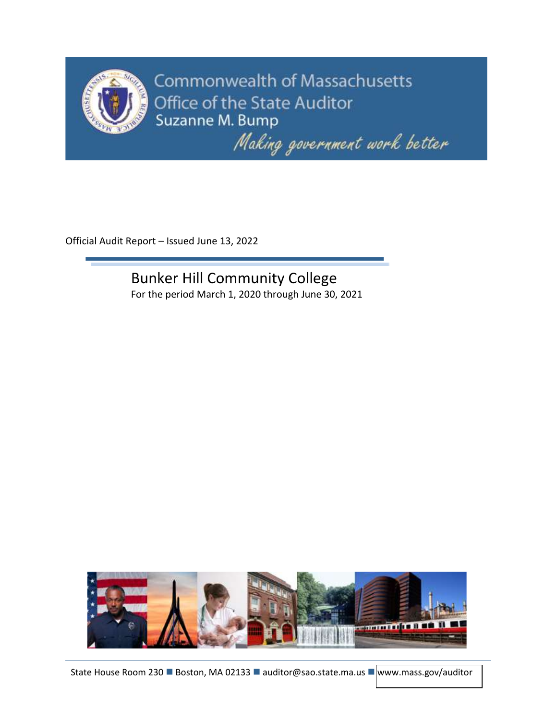

**Commonwealth of Massachusetts** Office of the State Auditor Suzanne M. Bump

Making government work better

Official Audit Report – Issued June 13, 2022

Bunker Hill Community College For the period March 1, 2020 through June 30, 2021

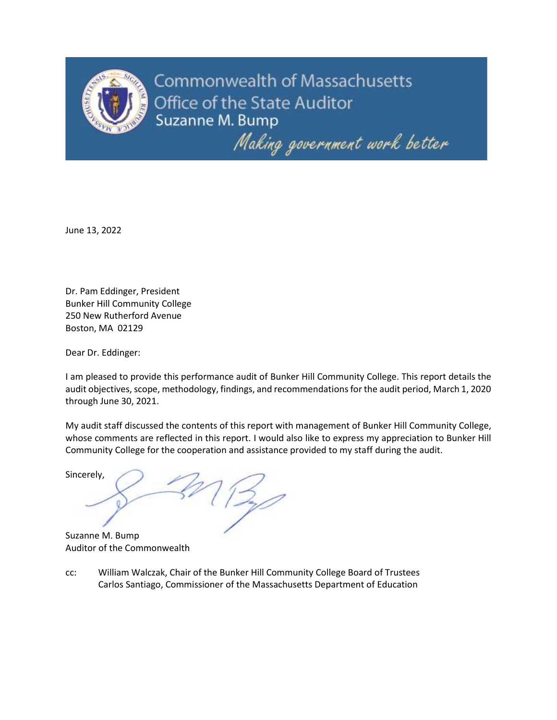

Commonwealth of Massachusetts Office of the State Auditor Suzanne M. Bump

Making government work better

June 13, 2022

Dr. Pam Eddinger, President Bunker Hill Community College 250 New Rutherford Avenue Boston, MA 02129

Dear Dr. Eddinger:

I am pleased to provide this performance audit of Bunker Hill Community College. This report details the audit objectives, scope, methodology, findings, and recommendations for the audit period, March 1, 2020 through June 30, 2021.

My audit staff discussed the contents of this report with management of Bunker Hill Community College, whose comments are reflected in this report. I would also like to express my appreciation to Bunker Hill Community College for the cooperation and assistance provided to my staff during the audit.

Sincerely,

Suzanne M. Bump Auditor of the Commonwealth

cc: William Walczak, Chair of the Bunker Hill Community College Board of Trustees Carlos Santiago, Commissioner of the Massachusetts Department of Education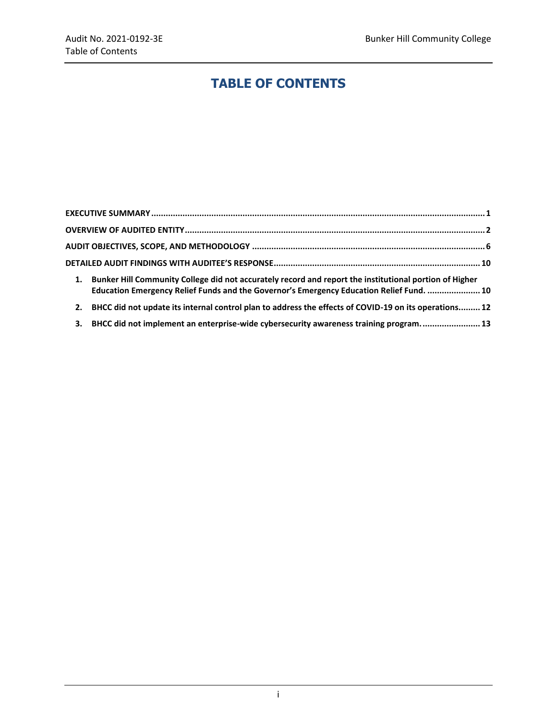# **TABLE OF CONTENTS**

| 1. | Bunker Hill Community College did not accurately record and report the institutional portion of Higher<br>Education Emergency Relief Funds and the Governor's Emergency Education Relief Fund.  10 |  |
|----|----------------------------------------------------------------------------------------------------------------------------------------------------------------------------------------------------|--|
| 2. | BHCC did not update its internal control plan to address the effects of COVID-19 on its operations 12                                                                                              |  |
| 3. | BHCC did not implement an enterprise-wide cybersecurity awareness training program 13                                                                                                              |  |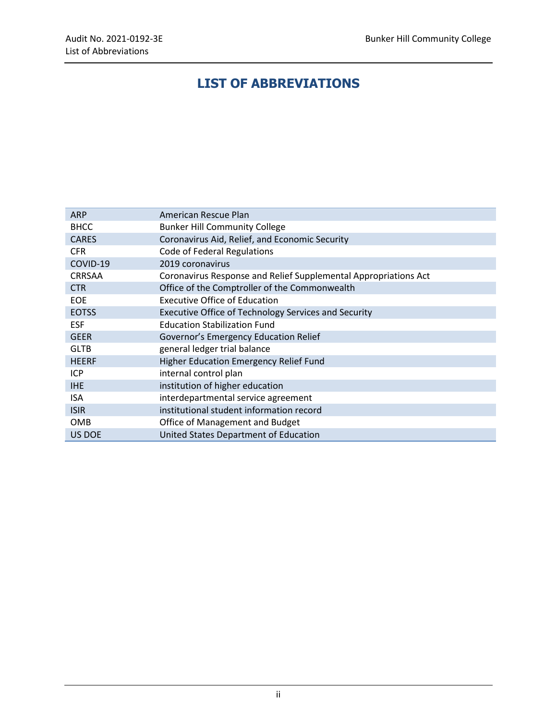# **LIST OF ABBREVIATIONS**

| <b>ARP</b>    | American Rescue Plan                                            |
|---------------|-----------------------------------------------------------------|
| <b>BHCC</b>   | <b>Bunker Hill Community College</b>                            |
| <b>CARES</b>  | Coronavirus Aid, Relief, and Economic Security                  |
| <b>CFR</b>    | Code of Federal Regulations                                     |
| COVID-19      | 2019 coronavirus                                                |
| <b>CRRSAA</b> | Coronavirus Response and Relief Supplemental Appropriations Act |
| <b>CTR</b>    | Office of the Comptroller of the Commonwealth                   |
| <b>EOE</b>    | <b>Executive Office of Education</b>                            |
| <b>EOTSS</b>  | Executive Office of Technology Services and Security            |
| <b>ESF</b>    | <b>Education Stabilization Fund</b>                             |
| <b>GEER</b>   | Governor's Emergency Education Relief                           |
| <b>GLTB</b>   | general ledger trial balance                                    |
| <b>HEERF</b>  | Higher Education Emergency Relief Fund                          |
| ICP           | internal control plan                                           |
| <b>IHE</b>    | institution of higher education                                 |
| <b>ISA</b>    | interdepartmental service agreement                             |
| <b>ISIR</b>   | institutional student information record                        |
| <b>OMB</b>    | Office of Management and Budget                                 |
| US DOE        | United States Department of Education                           |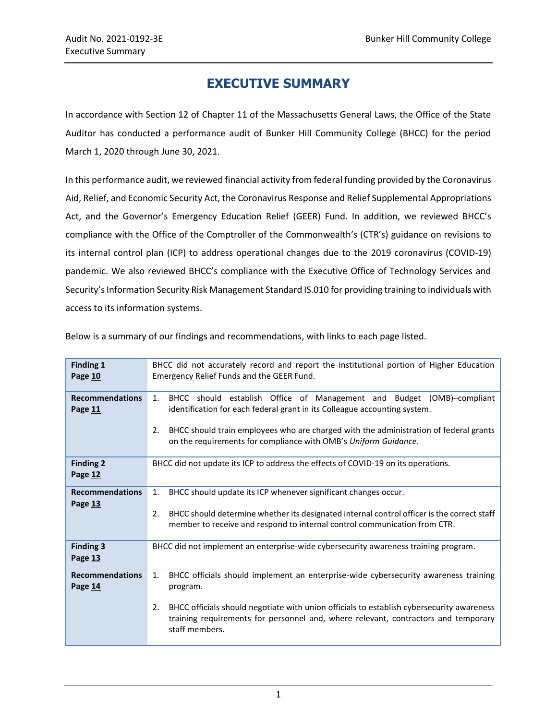# **EXECUTIVE SUMMARY**

<span id="page-4-0"></span>In accordance with Section 12 of Chapter 11 of the Massachusetts General Laws, the Office of the State Auditor has conducted a performance audit of Bunker Hill Community College (BHCC) for the period March 1, 2020 through June 30, 2021.

In this performance audit, we reviewed financial activity from federal funding provided by the Coronavirus Aid, Relief, and Economic Security Act, the Coronavirus Response and Relief Supplemental Appropriations Act, and the Governor's Emergency Education Relief (GEER) Fund. In addition, we reviewed BHCC's compliance with the Office of the Comptroller of the Commonwealth's (CTR's) guidance on revisions to its internal control plan (ICP) to address operational changes due to the 2019 coronavirus (COVID-19) pandemic. We also reviewed BHCC's compliance with the Executive Office of Technology Services and Security's Information Security Risk Management Standard IS.010 for providing training to individuals with access to its information systems.

| <b>Finding 1</b><br>Page 10       | BHCC did not accurately record and report the institutional portion of Higher Education<br>Emergency Relief Funds and the GEER Fund.                                                                                                                                                                                       |  |  |  |
|-----------------------------------|----------------------------------------------------------------------------------------------------------------------------------------------------------------------------------------------------------------------------------------------------------------------------------------------------------------------------|--|--|--|
| <b>Recommendations</b><br>Page 11 | BHCC should establish Office of Management and Budget (OMB)-compliant<br>1.<br>identification for each federal grant in its Colleague accounting system.<br>BHCC should train employees who are charged with the administration of federal grants<br>2.<br>on the requirements for compliance with OMB's Uniform Guidance. |  |  |  |
| <b>Finding 2</b><br>Page 12       | BHCC did not update its ICP to address the effects of COVID-19 on its operations.                                                                                                                                                                                                                                          |  |  |  |
| <b>Recommendations</b><br>Page 13 | BHCC should update its ICP whenever significant changes occur.<br>$\mathbf{1}$ .<br>BHCC should determine whether its designated internal control officer is the correct staff<br>2.<br>member to receive and respond to internal control communication from CTR.                                                          |  |  |  |
| <b>Finding 3</b><br>Page 13       | BHCC did not implement an enterprise-wide cybersecurity awareness training program.                                                                                                                                                                                                                                        |  |  |  |
| <b>Recommendations</b><br>Page 14 | BHCC officials should implement an enterprise-wide cybersecurity awareness training<br>1.<br>program.<br>2.<br>BHCC officials should negotiate with union officials to establish cybersecurity awareness<br>training requirements for personnel and, where relevant, contractors and temporary<br>staff members.           |  |  |  |

Below is a summary of our findings and recommendations, with links to each page listed.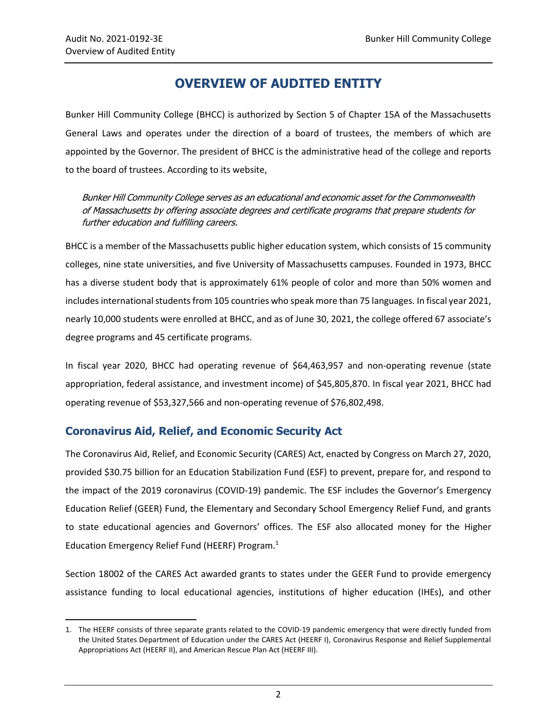## **OVERVIEW OF AUDITED ENTITY**

<span id="page-5-0"></span>Bunker Hill Community College (BHCC) is authorized by Section 5 of Chapter 15A of the Massachusetts General Laws and operates under the direction of a board of trustees, the members of which are appointed by the Governor. The president of BHCC is the administrative head of the college and reports to the board of trustees. According to its website,

Bunker Hill Community College serves as an educational and economic asset for the Commonwealth of Massachusetts by offering associate degrees and certificate programs that prepare students for further education and fulfilling careers.

BHCC is a member of the Massachusetts public higher education system, which consists of 15 community colleges, nine state universities, and five University of Massachusetts campuses. Founded in 1973, BHCC has a diverse student body that is approximately 61% people of color and more than 50% women and includes international students from 105 countries who speak more than 75 languages. In fiscal year 2021, nearly 10,000 students were enrolled at BHCC, and as of June 30, 2021, the college offered 67 associate's degree programs and 45 certificate programs.

In fiscal year 2020, BHCC had operating revenue of \$64,463,957 and non-operating revenue (state appropriation, federal assistance, and investment income) of \$45,805,870. In fiscal year 2021, BHCC had operating revenue of \$53,327,566 and non-operating revenue of \$76,802,498.

### **Coronavirus Aid, Relief, and Economic Security Act**

The Coronavirus Aid, Relief, and Economic Security (CARES) Act, enacted by Congress on March 27, 2020, provided \$30.75 billion for an Education Stabilization Fund (ESF) to prevent, prepare for, and respond to the impact of the 2019 coronavirus (COVID-19) pandemic. The ESF includes the Governor's Emergency Education Relief (GEER) Fund, the Elementary and Secondary School Emergency Relief Fund, and grants to state educational agencies and Governors' offices. The ESF also allocated money for the Higher Education Emergency Relief Fund (HEERF) Program.<sup>1</sup>

Section 18002 of the CARES Act awarded grants to states under the GEER Fund to provide emergency assistance funding to local educational agencies, institutions of higher education (IHEs), and other

 $\overline{\phantom{a}}$ 1. The HEERF consists of three separate grants related to the COVID-19 pandemic emergency that were directly funded from the United States Department of Education under the CARES Act (HEERF I), Coronavirus Response and Relief Supplemental Appropriations Act (HEERF II), and American Rescue Plan Act (HEERF III).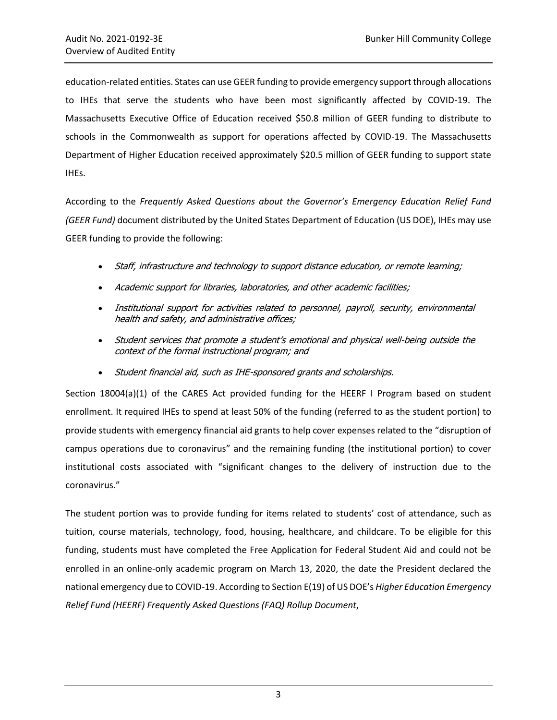education-related entities. States can use GEER funding to provide emergency support through allocations to IHEs that serve the students who have been most significantly affected by COVID-19. The Massachusetts Executive Office of Education received \$50.8 million of GEER funding to distribute to schools in the Commonwealth as support for operations affected by COVID-19. The Massachusetts Department of Higher Education received approximately \$20.5 million of GEER funding to support state IHEs.

According to the *Frequently Asked Questions about the Governor's Emergency Education Relief Fund (GEER Fund)* document distributed by the United States Department of Education (US DOE), IHEs may use GEER funding to provide the following:

- Staff, infrastructure and technology to support distance education, or remote learning;
- Academic support for libraries, laboratories, and other academic facilities;
- Institutional support for activities related to personnel, payroll, security, environmental health and safety, and administrative offices;
- Student services that promote a student's emotional and physical well-being outside the context of the formal instructional program; and
- Student financial aid, such as IHE-sponsored grants and scholarships.

Section 18004(a)(1) of the CARES Act provided funding for the HEERF I Program based on student enrollment. It required IHEs to spend at least 50% of the funding (referred to as the student portion) to provide students with emergency financial aid grants to help cover expenses related to the "disruption of campus operations due to coronavirus" and the remaining funding (the institutional portion) to cover institutional costs associated with "significant changes to the delivery of instruction due to the coronavirus."

The student portion was to provide funding for items related to students' cost of attendance, such as tuition, course materials, technology, food, housing, healthcare, and childcare. To be eligible for this funding, students must have completed the Free Application for Federal Student Aid and could not be enrolled in an online-only academic program on March 13, 2020, the date the President declared the national emergency due to COVID-19. According to Section E(19) of US DOE's *Higher Education Emergency Relief Fund (HEERF) Frequently Asked Questions (FAQ) Rollup Document*,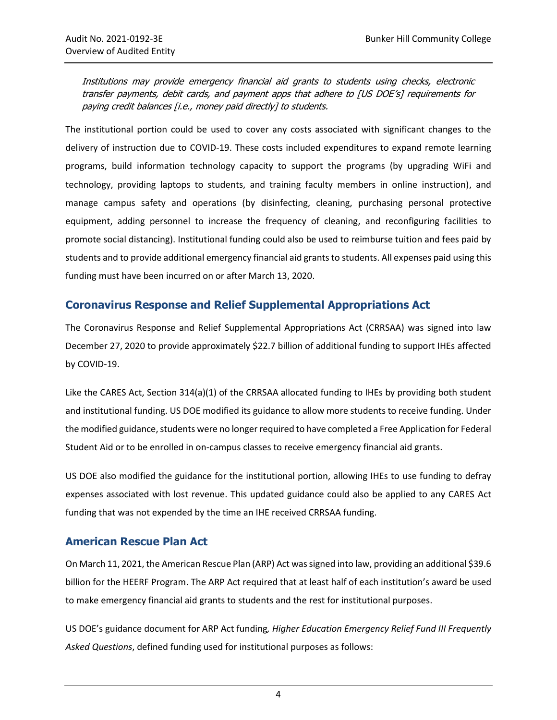Institutions may provide emergency financial aid grants to students using checks, electronic transfer payments, debit cards, and payment apps that adhere to [US DOE's] requirements for paying credit balances [i.e., money paid directly] to students.

The institutional portion could be used to cover any costs associated with significant changes to the delivery of instruction due to COVID-19. These costs included expenditures to expand remote learning programs, build information technology capacity to support the programs (by upgrading WiFi and technology, providing laptops to students, and training faculty members in online instruction), and manage campus safety and operations (by disinfecting, cleaning, purchasing personal protective equipment, adding personnel to increase the frequency of cleaning, and reconfiguring facilities to promote social distancing). Institutional funding could also be used to reimburse tuition and fees paid by students and to provide additional emergency financial aid grants to students. All expenses paid using this funding must have been incurred on or after March 13, 2020.

#### **Coronavirus Response and Relief Supplemental Appropriations Act**

The Coronavirus Response and Relief Supplemental Appropriations Act (CRRSAA) was signed into law December 27, 2020 to provide approximately \$22.7 billion of additional funding to support IHEs affected by COVID-19.

Like the CARES Act, Section 314(a)(1) of the CRRSAA allocated funding to IHEs by providing both student and institutional funding. US DOE modified its guidance to allow more students to receive funding. Under the modified guidance, students were no longer required to have completed a Free Application for Federal Student Aid or to be enrolled in on-campus classes to receive emergency financial aid grants.

US DOE also modified the guidance for the institutional portion, allowing IHEs to use funding to defray expenses associated with lost revenue. This updated guidance could also be applied to any CARES Act funding that was not expended by the time an IHE received CRRSAA funding.

#### **American Rescue Plan Act**

On March 11, 2021, the American Rescue Plan (ARP) Act was signed into law, providing an additional \$39.6 billion for the HEERF Program. The ARP Act required that at least half of each institution's award be used to make emergency financial aid grants to students and the rest for institutional purposes.

US DOE's guidance document for ARP Act funding*, Higher Education Emergency Relief Fund III Frequently Asked Questions*, defined funding used for institutional purposes as follows: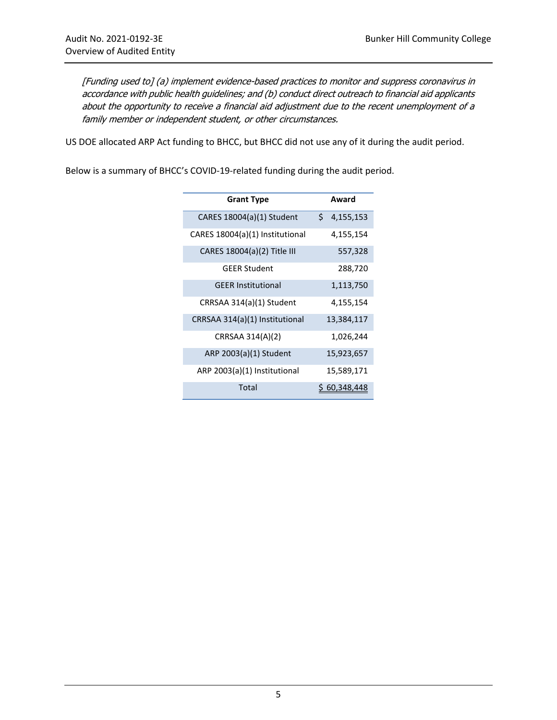[Funding used to] (a) implement evidence-based practices to monitor and suppress coronavirus in accordance with public health guidelines; and (b) conduct direct outreach to financial aid applicants about the opportunity to receive a financial aid adjustment due to the recent unemployment of a family member or independent student, or other circumstances.

US DOE allocated ARP Act funding to BHCC, but BHCC did not use any of it during the audit period.

Below is a summary of BHCC's COVID-19-related funding during the audit period.

| <b>Grant Type</b>               | Award           |
|---------------------------------|-----------------|
| CARES 18004(a)(1) Student       | \$<br>4,155,153 |
| CARES 18004(a)(1) Institutional | 4,155,154       |
| CARES 18004(a)(2) Title III     | 557,328         |
| <b>GEER Student</b>             | 288,720         |
| <b>GEER Institutional</b>       | 1,113,750       |
| CRRSAA 314(a)(1) Student        | 4,155,154       |
| CRRSAA 314(a)(1) Institutional  | 13,384,117      |
| CRRSAA 314(A)(2)                | 1,026,244       |
| ARP 2003(a)(1) Student          | 15,923,657      |
| ARP 2003(a)(1) Institutional    | 15,589,171      |
| Total                           | 60,348,448      |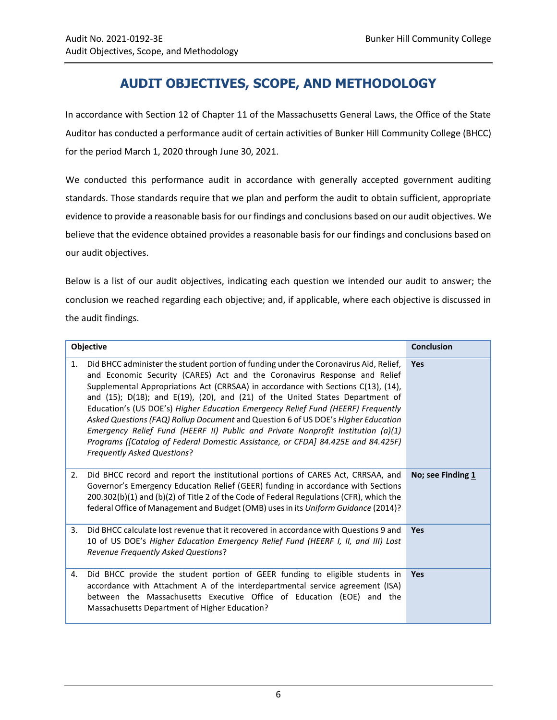# **AUDIT OBJECTIVES, SCOPE, AND METHODOLOGY**

<span id="page-9-0"></span>In accordance with Section 12 of Chapter 11 of the Massachusetts General Laws, the Office of the State Auditor has conducted a performance audit of certain activities of Bunker Hill Community College (BHCC) for the period March 1, 2020 through June 30, 2021.

We conducted this performance audit in accordance with generally accepted government auditing standards. Those standards require that we plan and perform the audit to obtain sufficient, appropriate evidence to provide a reasonable basis for our findings and conclusions based on our audit objectives. We believe that the evidence obtained provides a reasonable basis for our findings and conclusions based on our audit objectives.

Below is a list of our audit objectives, indicating each question we intended our audit to answer; the conclusion we reached regarding each objective; and, if applicable, where each objective is discussed in the audit findings.

|    | Objective                                                                                                                                                                                                                                                                                                                                                                                                                                                                                                                                                                                                                                                                                                                         | <b>Conclusion</b> |
|----|-----------------------------------------------------------------------------------------------------------------------------------------------------------------------------------------------------------------------------------------------------------------------------------------------------------------------------------------------------------------------------------------------------------------------------------------------------------------------------------------------------------------------------------------------------------------------------------------------------------------------------------------------------------------------------------------------------------------------------------|-------------------|
| 1. | Did BHCC administer the student portion of funding under the Coronavirus Aid, Relief,<br>and Economic Security (CARES) Act and the Coronavirus Response and Relief<br>Supplemental Appropriations Act (CRRSAA) in accordance with Sections C(13), (14),<br>and (15); D(18); and E(19), (20), and (21) of the United States Department of<br>Education's (US DOE's) Higher Education Emergency Relief Fund (HEERF) Frequently<br>Asked Questions (FAQ) Rollup Document and Question 6 of US DOE's Higher Education<br>Emergency Relief Fund (HEERF II) Public and Private Nonprofit Institution $(a)(1)$<br>Programs ([Catalog of Federal Domestic Assistance, or CFDA] 84.425E and 84.425F)<br><b>Frequently Asked Questions?</b> | <b>Yes</b>        |
| 2. | Did BHCC record and report the institutional portions of CARES Act, CRRSAA, and<br>Governor's Emergency Education Relief (GEER) funding in accordance with Sections<br>200.302(b)(1) and (b)(2) of Title 2 of the Code of Federal Regulations (CFR), which the<br>federal Office of Management and Budget (OMB) uses in its Uniform Guidance (2014)?                                                                                                                                                                                                                                                                                                                                                                              | No; see Finding 1 |
| 3. | Did BHCC calculate lost revenue that it recovered in accordance with Questions 9 and<br>10 of US DOE's Higher Education Emergency Relief Fund (HEERF I, II, and III) Lost<br>Revenue Frequently Asked Questions?                                                                                                                                                                                                                                                                                                                                                                                                                                                                                                                  | <b>Yes</b>        |
| 4. | Did BHCC provide the student portion of GEER funding to eligible students in<br>accordance with Attachment A of the interdepartmental service agreement (ISA)<br>between the Massachusetts Executive Office of Education (EOE) and the<br>Massachusetts Department of Higher Education?                                                                                                                                                                                                                                                                                                                                                                                                                                           | <b>Yes</b>        |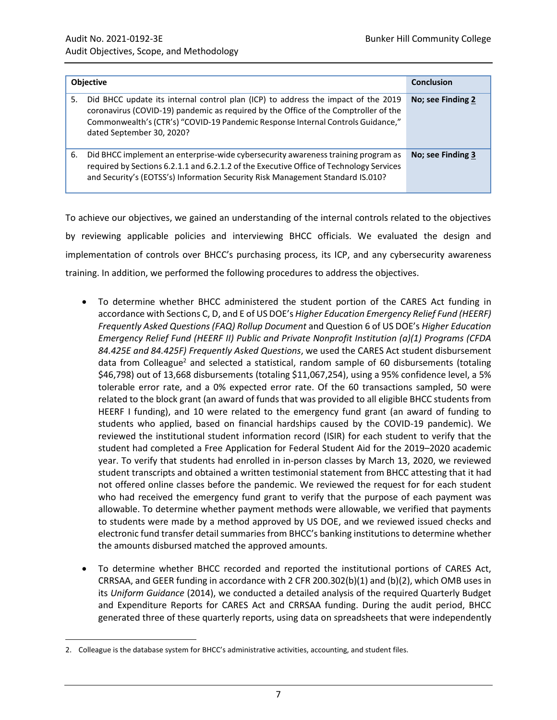| <b>Objective</b> |                                                                                                                                                                                                                                                                                          | <b>Conclusion</b> |
|------------------|------------------------------------------------------------------------------------------------------------------------------------------------------------------------------------------------------------------------------------------------------------------------------------------|-------------------|
| 5.               | Did BHCC update its internal control plan (ICP) to address the impact of the 2019<br>coronavirus (COVID-19) pandemic as required by the Office of the Comptroller of the<br>Commonwealth's (CTR's) "COVID-19 Pandemic Response Internal Controls Guidance,"<br>dated September 30, 2020? | No; see Finding 2 |
| 6.               | Did BHCC implement an enterprise-wide cybersecurity awareness training program as<br>required by Sections 6.2.1.1 and 6.2.1.2 of the Executive Office of Technology Services<br>and Security's (EOTSS's) Information Security Risk Management Standard IS.010?                           | No; see Finding 3 |

To achieve our objectives, we gained an understanding of the internal controls related to the objectives by reviewing applicable policies and interviewing BHCC officials. We evaluated the design and implementation of controls over BHCC's purchasing process, its ICP, and any cybersecurity awareness training. In addition, we performed the following procedures to address the objectives.

- To determine whether BHCC administered the student portion of the CARES Act funding in accordance with Sections C, D, and E of US DOE's *Higher Education Emergency Relief Fund (HEERF) Frequently Asked Questions (FAQ) Rollup Document* and Question 6 of US DOE's *Higher Education Emergency Relief Fund (HEERF II) Public and Private Nonprofit Institution (a)(1) Programs (CFDA 84.425E and 84.425F) Frequently Asked Questions*, we used the CARES Act student disbursement data from Colleague<sup>2</sup> and selected a statistical, random sample of 60 disbursements (totaling \$46,798) out of 13,668 disbursements (totaling \$11,067,254), using a 95% confidence level, a 5% tolerable error rate, and a 0% expected error rate. Of the 60 transactions sampled, 50 were related to the block grant (an award of funds that was provided to all eligible BHCC students from HEERF I funding), and 10 were related to the emergency fund grant (an award of funding to students who applied, based on financial hardships caused by the COVID-19 pandemic). We reviewed the institutional student information record (ISIR) for each student to verify that the student had completed a Free Application for Federal Student Aid for the 2019–2020 academic year. To verify that students had enrolled in in-person classes by March 13, 2020, we reviewed student transcripts and obtained a written testimonial statement from BHCC attesting that it had not offered online classes before the pandemic. We reviewed the request for for each student who had received the emergency fund grant to verify that the purpose of each payment was allowable. To determine whether payment methods were allowable, we verified that payments to students were made by a method approved by US DOE, and we reviewed issued checks and electronic fund transfer detail summaries from BHCC's banking institutions to determine whether the amounts disbursed matched the approved amounts.
- To determine whether BHCC recorded and reported the institutional portions of CARES Act, CRRSAA, and GEER funding in accordance with 2 CFR 200.302(b)(1) and (b)(2), which OMB uses in its *Uniform Guidance* (2014), we conducted a detailed analysis of the required Quarterly Budget and Expenditure Reports for CARES Act and CRRSAA funding. During the audit period, BHCC generated three of these quarterly reports, using data on spreadsheets that were independently

 $\overline{a}$ 

<sup>2.</sup> Colleague is the database system for BHCC's administrative activities, accounting, and student files.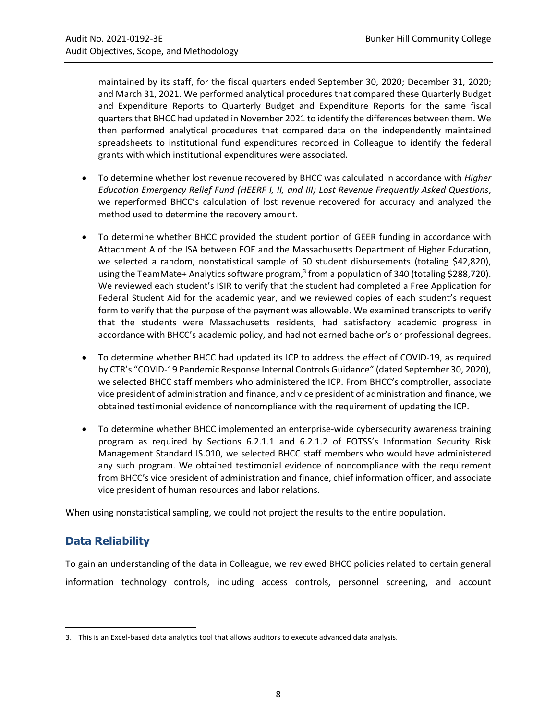maintained by its staff, for the fiscal quarters ended September 30, 2020; December 31, 2020; and March 31, 2021. We performed analytical procedures that compared these Quarterly Budget and Expenditure Reports to Quarterly Budget and Expenditure Reports for the same fiscal quartersthat BHCC had updated in November 2021 to identify the differences between them. We then performed analytical procedures that compared data on the independently maintained spreadsheets to institutional fund expenditures recorded in Colleague to identify the federal grants with which institutional expenditures were associated.

- To determine whether lost revenue recovered by BHCC was calculated in accordance with *Higher Education Emergency Relief Fund (HEERF I, II, and III) Lost Revenue Frequently Asked Questions*, we reperformed BHCC's calculation of lost revenue recovered for accuracy and analyzed the method used to determine the recovery amount.
- To determine whether BHCC provided the student portion of GEER funding in accordance with Attachment A of the ISA between EOE and the Massachusetts Department of Higher Education, we selected a random, nonstatistical sample of 50 student disbursements (totaling \$42,820), using the TeamMate+ Analytics software program,<sup>3</sup> from a population of 340 (totaling \$288,720). We reviewed each student's ISIR to verify that the student had completed a Free Application for Federal Student Aid for the academic year, and we reviewed copies of each student's request form to verify that the purpose of the payment was allowable. We examined transcripts to verify that the students were Massachusetts residents, had satisfactory academic progress in accordance with BHCC's academic policy, and had not earned bachelor's or professional degrees.
- To determine whether BHCC had updated its ICP to address the effect of COVID-19, as required by CTR's "COVID-19 Pandemic Response Internal Controls Guidance" (dated September 30, 2020), we selected BHCC staff members who administered the ICP. From BHCC's comptroller, associate vice president of administration and finance, and vice president of administration and finance, we obtained testimonial evidence of noncompliance with the requirement of updating the ICP.
- To determine whether BHCC implemented an enterprise-wide cybersecurity awareness training program as required by Sections 6.2.1.1 and 6.2.1.2 of EOTSS's Information Security Risk Management Standard IS.010, we selected BHCC staff members who would have administered any such program. We obtained testimonial evidence of noncompliance with the requirement from BHCC's vice president of administration and finance, chief information officer, and associate vice president of human resources and labor relations.

When using nonstatistical sampling, we could not project the results to the entire population.

### **Data Reliability**

 $\overline{\phantom{a}}$ 

To gain an understanding of the data in Colleague, we reviewed BHCC policies related to certain general information technology controls, including access controls, personnel screening, and account

<sup>3.</sup> This is an Excel-based data analytics tool that allows auditors to execute advanced data analysis.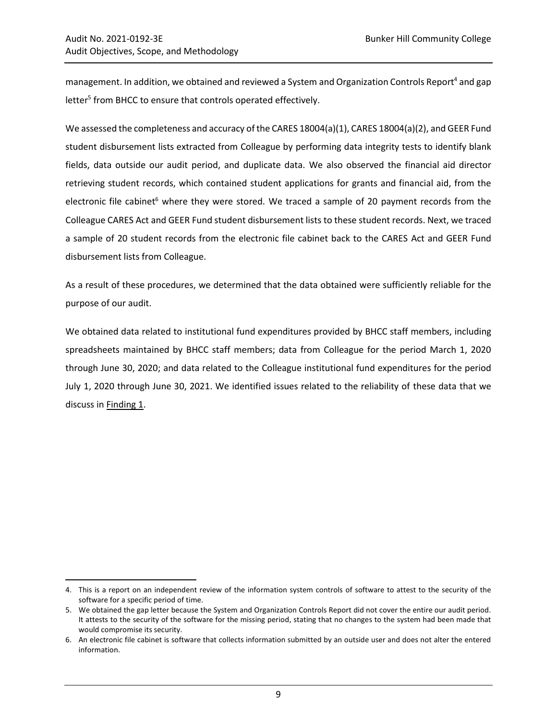$\overline{\phantom{a}}$ 

management. In addition, we obtained and reviewed a System and Organization Controls Report<sup>4</sup> and gap letter<sup>5</sup> from BHCC to ensure that controls operated effectively.

We assessed the completeness and accuracy of the CARES 18004(a)(1), CARES 18004(a)(2), and GEER Fund student disbursement lists extracted from Colleague by performing data integrity tests to identify blank fields, data outside our audit period, and duplicate data. We also observed the financial aid director retrieving student records, which contained student applications for grants and financial aid, from the electronic file cabinet<sup>6</sup> where they were stored. We traced a sample of 20 payment records from the Colleague CARES Act and GEER Fund student disbursement lists to these student records. Next, we traced a sample of 20 student records from the electronic file cabinet back to the CARES Act and GEER Fund disbursement lists from Colleague.

As a result of these procedures, we determined that the data obtained were sufficiently reliable for the purpose of our audit.

We obtained data related to institutional fund expenditures provided by BHCC staff members, including spreadsheets maintained by BHCC staff members; data from Colleague for the period March 1, 2020 through June 30, 2020; and data related to the Colleague institutional fund expenditures for the period July 1, 2020 through June 30, 2021. We identified issues related to the reliability of these data that we discuss in [Finding 1.](#page-13-1)

<sup>4.</sup> This is a report on an independent review of the information system controls of software to attest to the security of the software for a specific period of time.

<sup>5.</sup> We obtained the gap letter because the System and Organization Controls Report did not cover the entire our audit period. It attests to the security of the software for the missing period, stating that no changes to the system had been made that would compromise its security.

<sup>6.</sup> An electronic file cabinet is software that collects information submitted by an outside user and does not alter the entered information.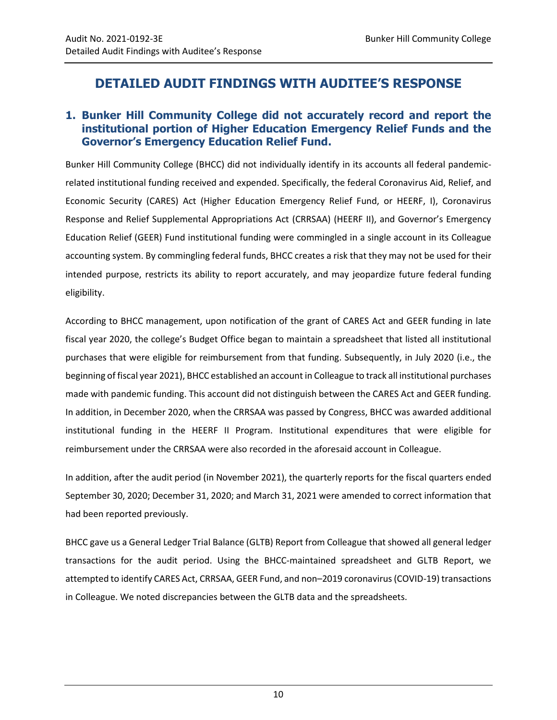# <span id="page-13-0"></span>**DETAILED AUDIT FINDINGS WITH AUDITEE'S RESPONSE**

### <span id="page-13-1"></span>**1. Bunker Hill Community College did not accurately record and report the institutional portion of Higher Education Emergency Relief Funds and the Governor's Emergency Education Relief Fund.**

Bunker Hill Community College (BHCC) did not individually identify in its accounts all federal pandemicrelated institutional funding received and expended. Specifically, the federal Coronavirus Aid, Relief, and Economic Security (CARES) Act (Higher Education Emergency Relief Fund, or HEERF, I), Coronavirus Response and Relief Supplemental Appropriations Act (CRRSAA) (HEERF II), and Governor's Emergency Education Relief (GEER) Fund institutional funding were commingled in a single account in its Colleague accounting system. By commingling federal funds, BHCC creates a risk that they may not be used for their intended purpose, restricts its ability to report accurately, and may jeopardize future federal funding eligibility.

According to BHCC management, upon notification of the grant of CARES Act and GEER funding in late fiscal year 2020, the college's Budget Office began to maintain a spreadsheet that listed all institutional purchases that were eligible for reimbursement from that funding. Subsequently, in July 2020 (i.e., the beginning of fiscal year 2021), BHCC established an account in Colleague to track all institutional purchases made with pandemic funding. This account did not distinguish between the CARES Act and GEER funding. In addition, in December 2020, when the CRRSAA was passed by Congress, BHCC was awarded additional institutional funding in the HEERF II Program. Institutional expenditures that were eligible for reimbursement under the CRRSAA were also recorded in the aforesaid account in Colleague.

In addition, after the audit period (in November 2021), the quarterly reports for the fiscal quarters ended September 30, 2020; December 31, 2020; and March 31, 2021 were amended to correct information that had been reported previously.

BHCC gave us a General Ledger Trial Balance (GLTB) Report from Colleague that showed all general ledger transactions for the audit period. Using the BHCC-maintained spreadsheet and GLTB Report, we attempted to identify CARES Act, CRRSAA, GEER Fund, and non–2019 coronavirus (COVID-19) transactions in Colleague. We noted discrepancies between the GLTB data and the spreadsheets.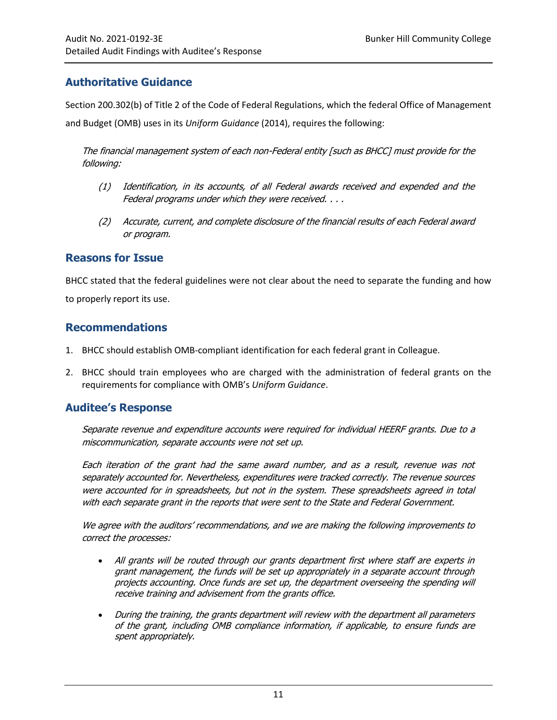### **Authoritative Guidance**

Section 200.302(b) of Title 2 of the Code of Federal Regulations, which the federal Office of Management and Budget (OMB) uses in its *Uniform Guidance* (2014), requires the following:

The financial management system of each non-Federal entity [such as BHCC] must provide for the following:

- (1) Identification, in its accounts, of all Federal awards received and expended and the Federal programs under which they were received. . . .
- (2) Accurate, current, and complete disclosure of the financial results of each Federal award or program.

#### **Reasons for Issue**

BHCC stated that the federal guidelines were not clear about the need to separate the funding and how to properly report its use.

#### <span id="page-14-0"></span>**Recommendations**

- 1. BHCC should establish OMB-compliant identification for each federal grant in Colleague.
- 2. BHCC should train employees who are charged with the administration of federal grants on the requirements for compliance with OMB's *Uniform Guidance*.

### **Auditee's Response**

Separate revenue and expenditure accounts were required for individual HEERF grants. Due to a miscommunication, separate accounts were not set up.

Each iteration of the grant had the same award number, and as a result, revenue was not separately accounted for. Nevertheless, expenditures were tracked correctly. The revenue sources were accounted for in spreadsheets, but not in the system. These spreadsheets agreed in total with each separate grant in the reports that were sent to the State and Federal Government.

We agree with the auditors' recommendations, and we are making the following improvements to correct the processes:

- All grants will be routed through our grants department first where staff are experts in grant management, the funds will be set up appropriately in a separate account through projects accounting. Once funds are set up, the department overseeing the spending will receive training and advisement from the grants office.
- During the training, the grants department will review with the department all parameters of the grant, including OMB compliance information, if applicable, to ensure funds are spent appropriately.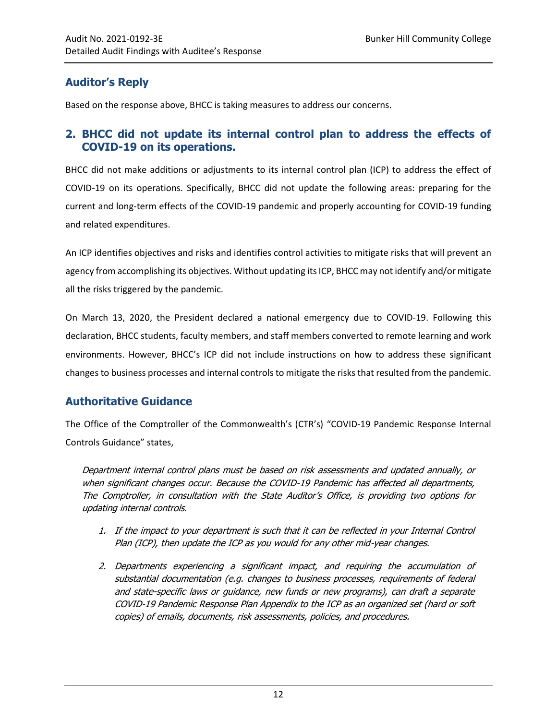### **Auditor's Reply**

Based on the response above, BHCC is taking measures to address our concerns.

### <span id="page-15-0"></span>**2. BHCC did not update its internal control plan to address the effects of COVID-19 on its operations.**

BHCC did not make additions or adjustments to its internal control plan (ICP) to address the effect of COVID-19 on its operations. Specifically, BHCC did not update the following areas: preparing for the current and long-term effects of the COVID-19 pandemic and properly accounting for COVID-19 funding and related expenditures.

An ICP identifies objectives and risks and identifies control activities to mitigate risks that will prevent an agency from accomplishing its objectives. Without updating its ICP, BHCC may not identify and/or mitigate all the risks triggered by the pandemic.

On March 13, 2020, the President declared a national emergency due to COVID-19. Following this declaration, BHCC students, faculty members, and staff members converted to remote learning and work environments. However, BHCC's ICP did not include instructions on how to address these significant changes to business processes and internal controls to mitigate the risks that resulted from the pandemic.

### **Authoritative Guidance**

The Office of the Comptroller of the Commonwealth's (CTR's) "COVID-19 Pandemic Response Internal Controls Guidance" states,

Department internal control plans must be based on risk assessments and updated annually, or when significant changes occur. Because the COVID-19 Pandemic has affected all departments, The Comptroller, in consultation with the State Auditor's Office, is providing two options for updating internal controls.

- 1. If the impact to your department is such that it can be reflected in your Internal Control Plan (ICP), then update the ICP as you would for any other mid-year changes.
- 2. Departments experiencing a significant impact, and requiring the accumulation of substantial documentation (e.g. changes to business processes, requirements of federal and state-specific laws or guidance, new funds or new programs), can draft a separate COVID-19 Pandemic Response Plan Appendix to the ICP as an organized set (hard or soft copies) of emails, documents, risk assessments, policies, and procedures.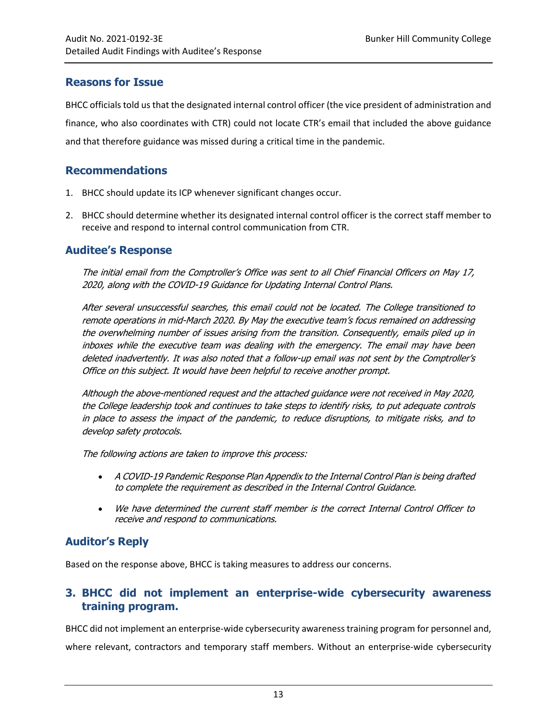### **Reasons for Issue**

BHCC officials told us that the designated internal control officer (the vice president of administration and finance, who also coordinates with CTR) could not locate CTR's email that included the above guidance and that therefore guidance was missed during a critical time in the pandemic.

#### <span id="page-16-1"></span>**Recommendations**

- 1. BHCC should update its ICP whenever significant changes occur.
- 2. BHCC should determine whether its designated internal control officer is the correct staff member to receive and respond to internal control communication from CTR.

#### **Auditee's Response**

The initial email from the Comptroller's Office was sent to all Chief Financial Officers on May 17, 2020, along with the COVID-19 Guidance for Updating Internal Control Plans.

After several unsuccessful searches, this email could not be located. The College transitioned to remote operations in mid-March 2020. By May the executive team's focus remained on addressing the overwhelming number of issues arising from the transition. Consequently, emails piled up in inboxes while the executive team was dealing with the emergency. The email may have been deleted inadvertently. It was also noted that a follow-up email was not sent by the Comptroller'<sup>s</sup> Office on this subject. It would have been helpful to receive another prompt.

Although the above-mentioned request and the attached guidance were not received in May 2020, the College leadership took and continues to take steps to identify risks, to put adequate controls in place to assess the impact of the pandemic, to reduce disruptions, to mitigate risks, and to develop safety protocols.

The following actions are taken to improve this process:

- A COVID-19 Pandemic Response Plan Appendix to the Internal Control Plan is being drafted to complete the requirement as described in the Internal Control Guidance.
- We have determined the current staff member is the correct Internal Control Officer to receive and respond to communications.

### **Auditor's Reply**

Based on the response above, BHCC is taking measures to address our concerns.

### <span id="page-16-0"></span>**3. BHCC did not implement an enterprise-wide cybersecurity awareness training program.**

BHCC did not implement an enterprise-wide cybersecurity awareness training program for personnel and, where relevant, contractors and temporary staff members. Without an enterprise-wide cybersecurity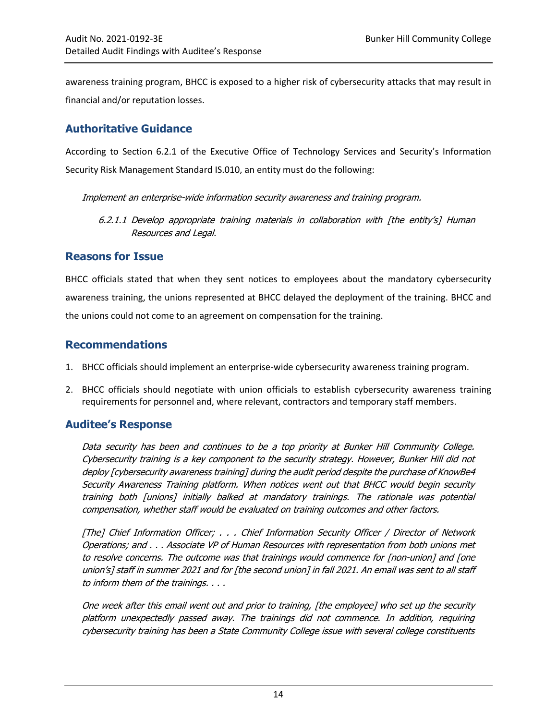awareness training program, BHCC is exposed to a higher risk of cybersecurity attacks that may result in financial and/or reputation losses.

### **Authoritative Guidance**

According to Section 6.2.1 of the Executive Office of Technology Services and Security's Information Security Risk Management Standard IS.010, an entity must do the following:

Implement an enterprise-wide information security awareness and training program.

6.2.1.1 Develop appropriate training materials in collaboration with [the entity's] Human Resources and Legal.

### **Reasons for Issue**

BHCC officials stated that when they sent notices to employees about the mandatory cybersecurity awareness training, the unions represented at BHCC delayed the deployment of the training. BHCC and the unions could not come to an agreement on compensation for the training.

### <span id="page-17-0"></span>**Recommendations**

- 1. BHCC officials should implement an enterprise-wide cybersecurity awareness training program.
- 2. BHCC officials should negotiate with union officials to establish cybersecurity awareness training requirements for personnel and, where relevant, contractors and temporary staff members.

### **Auditee's Response**

Data security has been and continues to be a top priority at Bunker Hill Community College. Cybersecurity training is a key component to the security strategy. However, Bunker Hill did not deploy [cybersecurity awareness training] during the audit period despite the purchase o[f KnowBe4](https://www.knowbe4.com/) Security Awareness Training platform. When notices went out that BHCC would begin security training both [unions] initially balked at mandatory trainings. The rationale was potential compensation, whether staff would be evaluated on training outcomes and other factors.

[The] Chief Information Officer; . . . Chief Information Security Officer / Director of Network Operations; and . . . Associate VP of Human Resources with representation from both unions met to resolve concerns. The outcome was that trainings would commence for [non-union] and [one union's] staff in summer 2021 and for [the second union] in fall 2021. An email was sent to all staff to inform them of the trainings. . . .

One week after this email went out and prior to training, [the employee] who set up the security platform unexpectedly passed away. The trainings did not commence. In addition, requiring cybersecurity training has been a State Community College issue with several college constituents